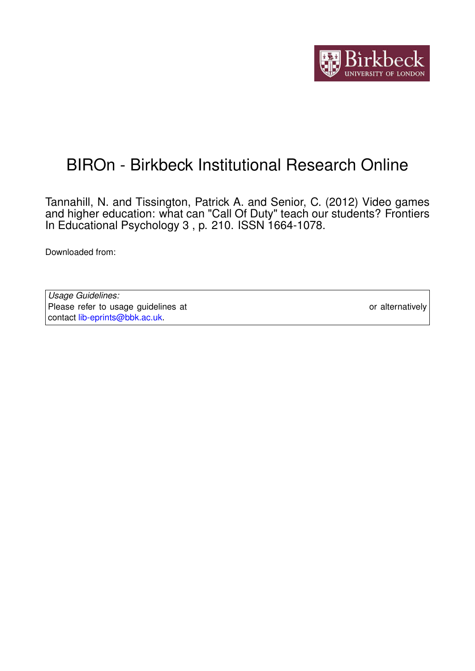

# BIROn - Birkbeck Institutional Research Online

Tannahill, N. and Tissington, Patrick A. and Senior, C. (2012) Video games and higher education: what can "Call Of Duty" teach our students? Frontiers In Educational Psychology 3 , p. 210. ISSN 1664-1078.

Downloaded from: <https://eprints.bbk.ac.uk/id/eprint/7259/>

*Usage Guidelines:* Please refer to usage guidelines at <https://eprints.bbk.ac.uk/policies.html> or alternatively contact [lib-eprints@bbk.ac.uk.](mailto:lib-eprints@bbk.ac.uk)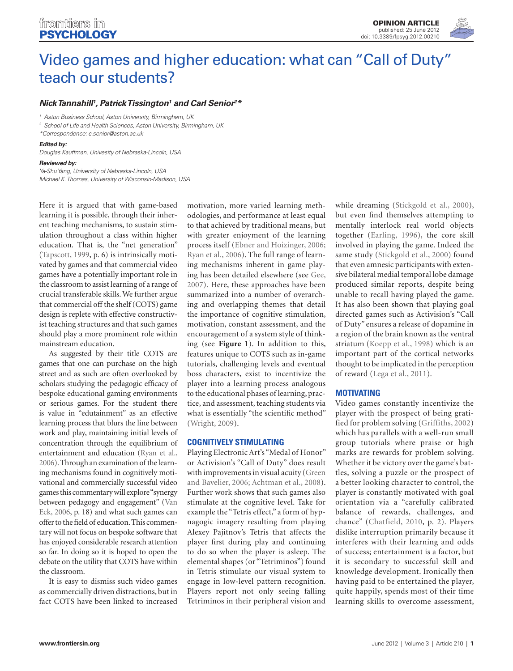## [Video games and higher education: what can "Call of Duty"](http://www.frontiersin.org/Educational_Psychology/10.3389/fpsyg.2012.00210/full) teach our students?

## *Nick Tannahill1 , [Patrick Tissington1](http://www.frontiersin.org/Community/WhosWhoActivity.aspx?sname=PatTissington&UID=54391) and [Carl Senior2](http://www.frontiersin.org/Community/WhosWhoActivity.aspx?sname=CarlSenior&UID=41621) \**

*<sup>1</sup> Aston Business School, Aston University, Birmingham, UK*

*<sup>2</sup> School of Life and Health Sciences, Aston University, Birmingham, UK*

*\*Correspondence: c.senior@aston.ac.uk*

#### *Edited by:*

*Douglas Kauffman, Univesity of Nebraska-Lincoln, USA*

## *Reviewed by:*

*Ya-Shu Yang, University of Nebraska-Lincoln, USA Michael K. Thomas, University of Wisconsin-Madison, USA*

Here it is argued that with game-based learning it is possible, through their inherent teaching mechanisms, to sustain stimulation throughout a class within higher education. That is, the "net generation" (Tapscott, 1999, p. 6) is intrinsically motivated by games and that commercial video games have a potentially important role in the classroom to assist learning of a range of crucial transferable skills. We further argue that commercial off the shelf (COTS) game design is replete with effective constructivist teaching structures and that such games should play a more prominent role within mainstream education.

As suggested by their title COTS are games that one can purchase on the high street and as such are often overlooked by scholars studying the pedagogic efficacy of bespoke educational gaming environments or serious games. For the student there is value in "edutainment" as an effective learning process that blurs the line between work and play, maintaining initial levels of concentration through the equilibrium of entertainment and education (Ryan et al., 2006). Through an examination of the learning mechanisms found in cognitively motivational and commercially successful video games this commentary will explore "synergy between pedagogy and engagement" (Van Eck, 2006, p. 18) and what such games can offer to the field of education. This commentary will not focus on bespoke software that has enjoyed considerable research attention so far. In doing so it is hoped to open the debate on the utility that COTS have within the classroom.

It is easy to dismiss such video games as commercially driven distractions, but in fact COTS have been linked to increased

motivation, more varied learning methodologies, and performance at least equal to that achieved by traditional means, but with greater enjoyment of the learning process itself (Ebner and Hoizinger, 2006; Ryan et al., 2006). The full range of learning mechanisms inherent in game playing has been detailed elsewhere (see Gee, 2007). Here, these approaches have been summarized into a number of overarching and overlapping themes that detail the importance of cognitive stimulation, motivation, constant assessment, and the encouragement of a system style of thinking (see **Figure 1**). In addition to this, features unique to COTS such as in-game tutorials, challenging levels and eventual boss characters, exist to incentivize the player into a learning process analogous to the educational phases of learning, practice, and assessment, teaching students via what is essentially "the scientific method" (Wright, 2009).

#### **Cognitively stimulating**

Playing Electronic Art's "Medal of Honor" or Activision's "Call of Duty" does result with improvements in visual acuity (Green and Bavelier, 2006; Achtman et al., 2008). Further work shows that such games also stimulate at the cognitive level. Take for example the "Tetris effect," a form of hypnagogic imagery resulting from playing Alexey Pajitnov's Tetris that affects the player first during play and continuing to do so when the player is asleep. The elemental shapes (or "Tetriminos") found in Tetris stimulate our visual system to engage in low-level pattern recognition. Players report not only seeing falling Tetriminos in their peripheral vision and while dreaming (Stickgold et al., 2000), but even find themselves attempting to mentally interlock real world objects together (Earling, 1996), the core skill involved in playing the game. Indeed the same study (Stickgold et al., 2000) found that even amnesic participants with extensive bilateral medial temporal lobe damage produced similar reports, despite being unable to recall having played the game. It has also been shown that playing goal directed games such as Activision's "Call of Duty" ensures a release of dopamine in a region of the brain known as the ventral striatum (Koepp et al., 1998) which is an important part of the cortical networks thought to be implicated in the perception of reward (Lega et al., 2011).

#### **Motivating**

Video games constantly incentivize the player with the prospect of being gratified for problem solving (Griffiths, 2002) which has parallels with a well-run small group tutorials where praise or high marks are rewards for problem solving. Whether it be victory over the game's battles, solving a puzzle or the prospect of a better looking character to control, the player is constantly motivated with goal orientation via a "carefully calibrated balance of rewards, challenges, and chance" (Chatfield, 2010, p. 2). Players dislike interruption primarily because it interferes with their learning and odds of success; entertainment is a factor, but it is secondary to successful skill and knowledge development. Ironically then having paid to be entertained the player, quite happily, spends most of their time learning skills to overcome assessment,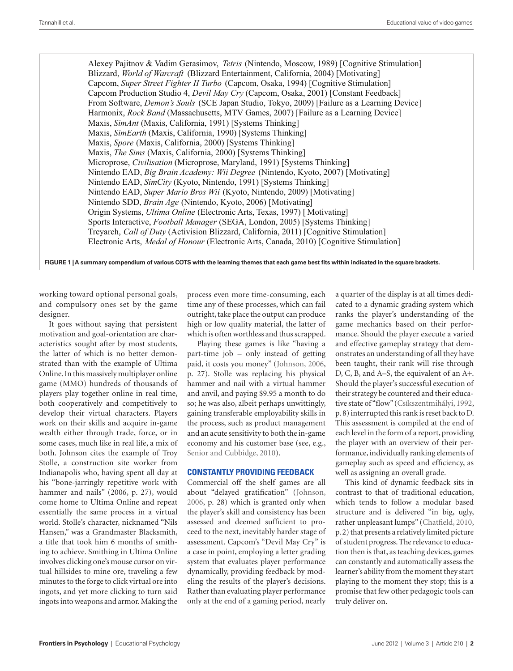Alexey Pajitnov & Vadim Gerasimov, *Tetris* (Nintendo, Moscow, 1989) [Cognitive Stimulation] Blizzard, *World of Warcraft* (Blizzard Entertainment, California, 2004) [Motivating] Capcom, *Super Street Fighter II Turbo* (Capcom, Osaka, 1994) [Cognitive Stimulation] Capcom Production Studio 4, *Devil May Cry* (Capcom, Osaka, 2001) [Constant Feedback] From Software, *Demon's Souls* (SCE Japan Studio, Tokyo, 2009) [Failure as a Learning Device] Harmonix, *Rock Band* (Massachusetts, MTV Games, 2007) [Failure as a Learning Device] Maxis, *SimAnt* (Maxis, California, 1991) [Systems Thinking] Maxis, *SimEarth* (Maxis, California, 1990) [Systems Thinking] Maxis, *Spore* (Maxis, California, 2000) [Systems Thinking] Maxis, *The Sims* (Maxis, California, 2000) [Systems Thinking] Microprose, *Civilisation* (Microprose, Maryland, 1991) [Systems Thinking] Nintendo EAD, *Big Brain Academy: Wii Degree* (Nintendo, Kyoto, 2007) [Motivating] Nintendo EAD, *SimCity* (Kyoto, Nintendo, 1991) [Systems Thinking] Nintendo EAD, *Super Mario Bros Wii* (Kyoto, Nintendo, 2009) [Motivating] Nintendo SDD, *Brain Age* (Nintendo, Kyoto, 2006) [Motivating] Origin Systems, *Ultima Online* (Electronic Arts, Texas, 1997) [ Motivating] Sports Interactive, *Football Manager* (SEGA, London, 2005) [Systems Thinking] Treyarch, *Call of Duty* (Activision Blizzard, California, 2011) [Cognitive Stimulation] Electronic Arts, *Medal of Honour* (Electronic Arts, Canada, 2010) [Cognitive Stimulation]

**Figure 1 | A summary compendium of various COTS with the learning themes that each game best fits within indicated in the square brackets.**

working toward optional personal goals, and compulsory ones set by the game designer.

It goes without saying that persistent motivation and goal-orientation are characteristics sought after by most students, the latter of which is no better demonstrated than with the example of Ultima Online. In this massively multiplayer online game (MMO) hundreds of thousands of players play together online in real time, both cooperatively and competitively to develop their virtual characters. Players work on their skills and acquire in-game wealth either through trade, force, or in some cases, much like in real life, a mix of both. Johnson cites the example of Troy Stolle, a construction site worker from Indianapolis who, having spent all day at his "bone-jarringly repetitive work with hammer and nails" (2006, p. 27), would come home to Ultima Online and repeat essentially the same process in a virtual world. Stolle's character, nicknamed "Nils Hansen," was a Grandmaster Blacksmith, a title that took him 6 months of smithing to achieve. Smithing in Ultima Online involves clicking one's mouse cursor on virtual hillsides to mine ore, traveling a few minutes to the forge to click virtual ore into ingots, and yet more clicking to turn said ingots into weapons and armor. Making the

process even more time-consuming, each time any of these processes, which can fail outright, take place the output can produce high or low quality material, the latter of which is often worthless and thus scrapped.

Playing these games is like "having a part-time job – only instead of getting paid, it costs you money" (Johnson, 2006, p. 27). Stolle was replacing his physical hammer and nail with a virtual hammer and anvil, and paying \$9.95 a month to do so; he was also, albeit perhaps unwittingly, gaining transferable employability skills in the process, such as product management and an acute sensitivity to both the in-game economy and his customer base (see, e.g., Senior and Cubbidge, 2010).

#### **Constantly providing feedback**

Commercial off the shelf games are all about "delayed gratification" (Johnson, 2006, p. 28) which is granted only when the player's skill and consistency has been assessed and deemed sufficient to proceed to the next, inevitably harder stage of assessment. Capcom's "Devil May Cry" is a case in point, employing a letter grading system that evaluates player performance dynamically, providing feedback by modeling the results of the player's decisions. Rather than evaluating player performance only at the end of a gaming period, nearly a quarter of the display is at all times dedicated to a dynamic grading system which ranks the player's understanding of the game mechanics based on their performance. Should the player execute a varied and effective gameplay strategy that demonstrates an understanding of all they have been taught, their rank will rise through D, C, B, and A–S, the equivalent of an A+. Should the player's successful execution of their strategy be countered and their educative state of "flow" (Csíkszentmihályi, 1992, p. 8) interrupted this rank is reset back to D. This assessment is compiled at the end of each level in the form of a report, providing the player with an overview of their performance, individually ranking elements of gameplay such as speed and efficiency, as well as assigning an overall grade.

This kind of dynamic feedback sits in contrast to that of traditional education, which tends to follow a modular based structure and is delivered "in big, ugly, rather unpleasant lumps" (Chatfield, 2010, p. 2) that presents a relatively limited picture of student progress. The relevance to education then is that, as teaching devices, games can constantly and automatically assess the learner's ability from the moment they start playing to the moment they stop; this is a promise that few other pedagogic tools can truly deliver on.